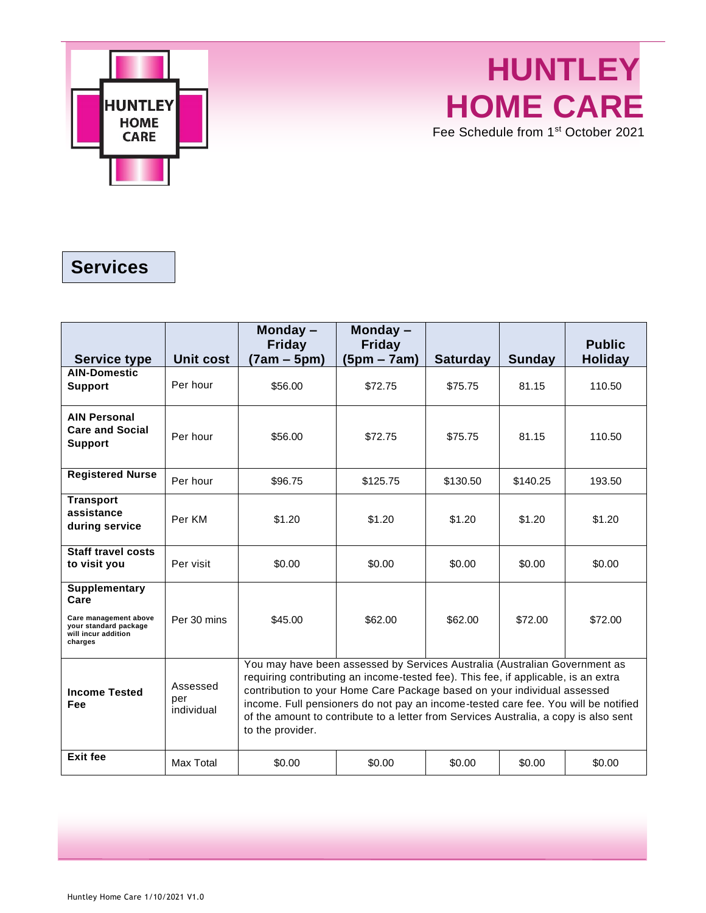

## **HUNTLEY HOME CARE** Fee Schedule from 1st October 2021

## **Services**

|                                                                                                                  |                               | Monday-<br><b>Friday</b>                                                                                                                                                                                                                                                                                                                                                                                                                       | Monday-<br><b>Friday</b> |                 |               | <b>Public</b>  |
|------------------------------------------------------------------------------------------------------------------|-------------------------------|------------------------------------------------------------------------------------------------------------------------------------------------------------------------------------------------------------------------------------------------------------------------------------------------------------------------------------------------------------------------------------------------------------------------------------------------|--------------------------|-----------------|---------------|----------------|
| <b>Service type</b>                                                                                              | Unit cost                     | (7am – 5pm)                                                                                                                                                                                                                                                                                                                                                                                                                                    | $(5pm - 7am)$            | <b>Saturday</b> | <b>Sunday</b> | <b>Holiday</b> |
| <b>AIN-Domestic</b><br><b>Support</b>                                                                            | Per hour                      | \$56.00                                                                                                                                                                                                                                                                                                                                                                                                                                        | \$72.75                  | \$75.75         | 81.15         | 110.50         |
| <b>AIN Personal</b><br><b>Care and Social</b><br><b>Support</b>                                                  | Per hour                      | \$56.00                                                                                                                                                                                                                                                                                                                                                                                                                                        | \$72.75                  | \$75.75         | 81.15         | 110.50         |
| <b>Registered Nurse</b>                                                                                          | Per hour                      | \$96.75                                                                                                                                                                                                                                                                                                                                                                                                                                        | \$125.75                 | \$130.50        | \$140.25      | 193.50         |
| <b>Transport</b><br>assistance<br>during service                                                                 | Per KM                        | \$1.20                                                                                                                                                                                                                                                                                                                                                                                                                                         | \$1.20                   | \$1.20          | \$1.20        | \$1.20         |
| <b>Staff travel costs</b><br>to visit you                                                                        | Per visit                     | \$0.00                                                                                                                                                                                                                                                                                                                                                                                                                                         | \$0.00                   | \$0.00          | \$0.00        | \$0.00         |
| <b>Supplementary</b><br>Care<br>Care management above<br>your standard package<br>will incur addition<br>charges | Per 30 mins                   | \$45.00                                                                                                                                                                                                                                                                                                                                                                                                                                        | \$62.00                  | \$62.00         | \$72.00       | \$72.00        |
| <b>Income Tested</b><br>Fee                                                                                      | Assessed<br>per<br>individual | You may have been assessed by Services Australia (Australian Government as<br>requiring contributing an income-tested fee). This fee, if applicable, is an extra<br>contribution to your Home Care Package based on your individual assessed<br>income. Full pensioners do not pay an income-tested care fee. You will be notified<br>of the amount to contribute to a letter from Services Australia, a copy is also sent<br>to the provider. |                          |                 |               |                |
| <b>Exit fee</b>                                                                                                  | Max Total                     | \$0.00                                                                                                                                                                                                                                                                                                                                                                                                                                         | \$0.00                   | \$0.00          | \$0.00        | \$0.00         |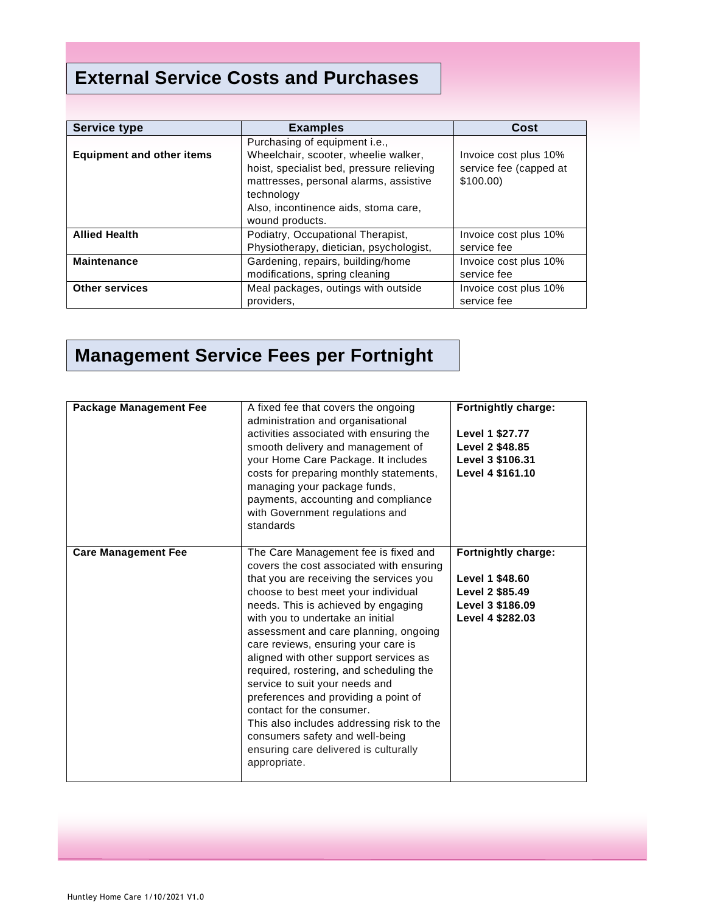## **External Service Costs and Purchases**

| <b>Service type</b>              | <b>Examples</b>                                                                                                                                                                                                                       | Cost                                                        |
|----------------------------------|---------------------------------------------------------------------------------------------------------------------------------------------------------------------------------------------------------------------------------------|-------------------------------------------------------------|
| <b>Equipment and other items</b> | Purchasing of equipment i.e.,<br>Wheelchair, scooter, wheelie walker,<br>hoist, specialist bed, pressure relieving<br>mattresses, personal alarms, assistive<br>technology<br>Also, incontinence aids, stoma care,<br>wound products. | Invoice cost plus 10%<br>service fee (capped at<br>\$100.00 |
| <b>Allied Health</b>             | Podiatry, Occupational Therapist,<br>Physiotherapy, dietician, psychologist,                                                                                                                                                          | Invoice cost plus 10%<br>service fee                        |
| <b>Maintenance</b>               | Gardening, repairs, building/home<br>modifications, spring cleaning                                                                                                                                                                   | Invoice cost plus 10%<br>service fee                        |
| <b>Other services</b>            | Meal packages, outings with outside<br>providers,                                                                                                                                                                                     | Invoice cost plus 10%<br>service fee                        |

## **Management Service Fees per Fortnight**

| <b>Package Management Fee</b> | A fixed fee that covers the ongoing<br>administration and organisational<br>activities associated with ensuring the<br>smooth delivery and management of<br>your Home Care Package. It includes<br>costs for preparing monthly statements,<br>managing your package funds,<br>payments, accounting and compliance<br>with Government regulations and<br>standards                                                                                                                                                                                                                                                                                                  | Fortnightly charge:<br>Level 1 \$27.77<br>Level 2 \$48.85<br>Level 3 \$106.31<br>Level 4 \$161.10 |
|-------------------------------|--------------------------------------------------------------------------------------------------------------------------------------------------------------------------------------------------------------------------------------------------------------------------------------------------------------------------------------------------------------------------------------------------------------------------------------------------------------------------------------------------------------------------------------------------------------------------------------------------------------------------------------------------------------------|---------------------------------------------------------------------------------------------------|
| <b>Care Management Fee</b>    | The Care Management fee is fixed and<br>covers the cost associated with ensuring<br>that you are receiving the services you<br>choose to best meet your individual<br>needs. This is achieved by engaging<br>with you to undertake an initial<br>assessment and care planning, ongoing<br>care reviews, ensuring your care is<br>aligned with other support services as<br>required, rostering, and scheduling the<br>service to suit your needs and<br>preferences and providing a point of<br>contact for the consumer.<br>This also includes addressing risk to the<br>consumers safety and well-being<br>ensuring care delivered is culturally<br>appropriate. | Fortnightly charge:<br>Level 1 \$48.60<br>Level 2 \$85.49<br>Level 3 \$186.09<br>Level 4 \$282.03 |